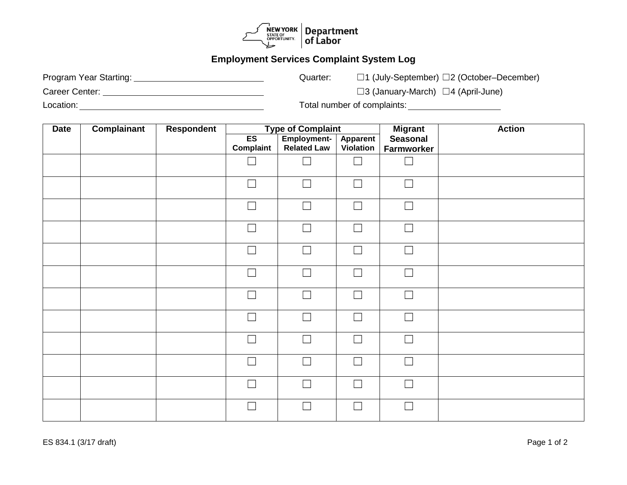

## **Employment Services Complaint System Log**

Program Year Starting: Quarter: ☐1 (July-September) ☐2 (October–December)

Career Center: ☐3 (January-March) ☐4 (April-June)

Location: Total number of complaints:

| <b>Date</b> | <b>Complainant</b> | Respondent | <b>Type of Complaint</b>    |                                          | <b>Migrant</b>        | <b>Action</b>                 |  |
|-------------|--------------------|------------|-----------------------------|------------------------------------------|-----------------------|-------------------------------|--|
|             |                    |            | ES<br>Complaint             | <b>Employment-</b><br><b>Related Law</b> | Apparent<br>Violation | <b>Seasonal</b><br>Farmworker |  |
|             |                    |            |                             |                                          |                       |                               |  |
|             |                    |            | $\overline{\phantom{a}}$    | $\Box$                                   | $\Box$                | $\Box$                        |  |
|             |                    |            | $\Box$                      | $\Box$                                   | $\Box$                | $\Box$                        |  |
|             |                    |            | $\Box$                      | $\Box$                                   | $\Box$                | $\Box$                        |  |
|             |                    |            | $\overline{\phantom{a}}$    | $\Box$                                   | $\Box$                | $\Box$                        |  |
|             |                    |            | $\overline{\phantom{a}}$    | $\Box$                                   | $\Box$                | $\Box$                        |  |
|             |                    |            | Г                           | $\Box$                                   | $\Box$                | $\Box$                        |  |
|             |                    |            | $\Box$                      | $\Box$                                   | $\Box$                | $\Box$                        |  |
|             |                    |            | $\Box$                      | $\Box$                                   | $\Box$                | $\Box$                        |  |
|             |                    |            | $\mathcal{L}_{\mathcal{A}}$ | $\Box$                                   | $\Box$                | $\Box$                        |  |
|             |                    |            | Г                           | $\Box$                                   | $\Box$                | $\Box$                        |  |
|             |                    |            | $\Box$                      | $\Box$                                   | $\Box$                | $\Box$                        |  |